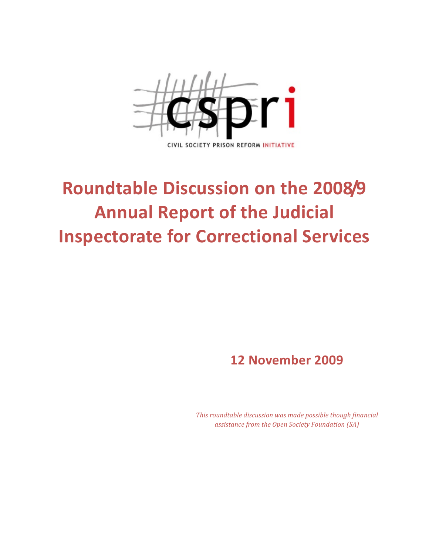

# Roundtable Discussion on the 2008/9 Annual Report of the Judicial Inspectorate for Correctional Services

# 12 November 2009

This roundtable discussion was made possible though financial assistance from the Open Society Foundation (SA)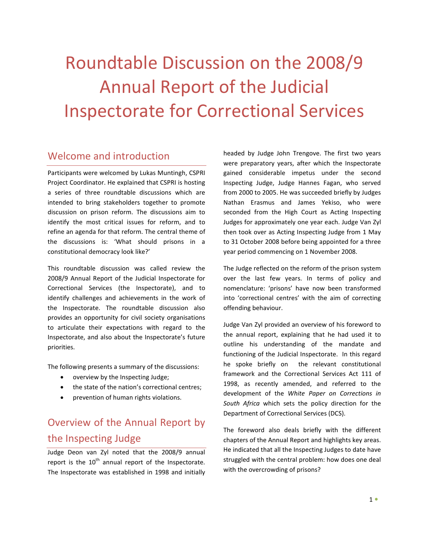# Roundtable Discussion on the 2008/9 Annual Report of the Judicial Inspectorate for Correctional Services

# Welcome and introduction

Participants were welcomed by Lukas Muntingh, CSPRI Project Coordinator. He explained that CSPRI is hosting a series of three roundtable discussions which are intended to bring stakeholders together to promote discussion on prison reform. The discussions aim to identify the most critical issues for reform, and to refine an agenda for that reform. The central theme of the discussions is: 'What should prisons in a constitutional democracy look like?'

This roundtable discussion was called review the 2008/9 Annual Report of the Judicial Inspectorate for Correctional Services (the Inspectorate), and to identify challenges and achievements in the work of the Inspectorate. The roundtable discussion also provides an opportunity for civil society organisations to articulate their expectations with regard to the Inspectorate, and also about the Inspectorate's future priorities.

The following presents a summary of the discussions:

- overview by the Inspecting Judge;
- the state of the nation's correctional centres;
- prevention of human rights violations.

# Overview of the Annual Report by the Inspecting Judge

Judge Deon van Zyl noted that the 2008/9 annual report is the  $10^{th}$  annual report of the Inspectorate. The Inspectorate was established in 1998 and initially

headed by Judge John Trengove. The first two years were preparatory years, after which the Inspectorate gained considerable impetus under the second Inspecting Judge, Judge Hannes Fagan, who served from 2000 to 2005. He was succeeded briefly by Judges Nathan Erasmus and James Yekiso, who were seconded from the High Court as Acting Inspecting Judges for approximately one year each. Judge Van Zyl then took over as Acting Inspecting Judge from 1 May to 31 October 2008 before being appointed for a three year period commencing on 1 November 2008.

The Judge reflected on the reform of the prison system over the last few years. In terms of policy and nomenclature: 'prisons' have now been transformed into 'correctional centres' with the aim of correcting offending behaviour.

Judge Van Zyl provided an overview of his foreword to the annual report, explaining that he had used it to outline his understanding of the mandate and functioning of the Judicial Inspectorate. In this regard he spoke briefly on the relevant constitutional framework and the Correctional Services Act 111 of 1998, as recently amended, and referred to the development of the White Paper on Corrections in South Africa which sets the policy direction for the Department of Correctional Services (DCS).

The foreword also deals briefly with the different chapters of the Annual Report and highlights key areas. He indicated that all the Inspecting Judges to date have struggled with the central problem: how does one deal with the overcrowding of prisons?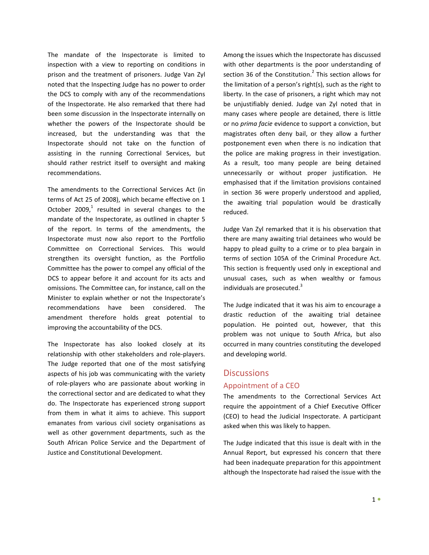The mandate of the Inspectorate is limited to inspection with a view to reporting on conditions in prison and the treatment of prisoners. Judge Van Zyl noted that the Inspecting Judge has no power to order the DCS to comply with any of the recommendations of the Inspectorate. He also remarked that there had been some discussion in the Inspectorate internally on whether the powers of the Inspectorate should be increased, but the understanding was that the Inspectorate should not take on the function of assisting in the running Correctional Services, but should rather restrict itself to oversight and making recommendations.

The amendments to the Correctional Services Act (in terms of Act 25 of 2008), which became effective on 1 October 2009,<sup>1</sup> resulted in several changes to the mandate of the Inspectorate, as outlined in chapter 5 of the report. In terms of the amendments, the Inspectorate must now also report to the Portfolio Committee on Correctional Services. This would strengthen its oversight function, as the Portfolio Committee has the power to compel any official of the DCS to appear before it and account for its acts and omissions. The Committee can, for instance, call on the Minister to explain whether or not the Inspectorate's recommendations have been considered. The amendment therefore holds great potential to improving the accountability of the DCS.

The Inspectorate has also looked closely at its relationship with other stakeholders and role-players. The Judge reported that one of the most satisfying aspects of his job was communicating with the variety of role-players who are passionate about working in the correctional sector and are dedicated to what they do. The Inspectorate has experienced strong support from them in what it aims to achieve. This support emanates from various civil society organisations as well as other government departments, such as the South African Police Service and the Department of Justice and Constitutional Development.

Among the issues which the Inspectorate has discussed with other departments is the poor understanding of section 36 of the Constitution. $^2$  This section allows for the limitation of a person's right(s), such as the right to liberty. In the case of prisoners, a right which may not be unjustifiably denied. Judge van Zyl noted that in many cases where people are detained, there is little or no prima facie evidence to support a conviction, but magistrates often deny bail, or they allow a further postponement even when there is no indication that the police are making progress in their investigation. As a result, too many people are being detained unnecessarily or without proper justification. He emphasised that if the limitation provisions contained in section 36 were properly understood and applied, the awaiting trial population would be drastically reduced.

Judge Van Zyl remarked that it is his observation that there are many awaiting trial detainees who would be happy to plead guilty to a crime or to plea bargain in terms of section 105A of the Criminal Procedure Act. This section is frequently used only in exceptional and unusual cases, such as when wealthy or famous individuals are prosecuted.<sup>3</sup>

The Judge indicated that it was his aim to encourage a drastic reduction of the awaiting trial detainee population. He pointed out, however, that this problem was not unique to South Africa, but also occurred in many countries constituting the developed and developing world.

### **Discussions**

### Appointment of a CEO

The amendments to the Correctional Services Act require the appointment of a Chief Executive Officer (CEO) to head the Judicial Inspectorate. A participant asked when this was likely to happen.

The Judge indicated that this issue is dealt with in the Annual Report, but expressed his concern that there had been inadequate preparation for this appointment although the Inspectorate had raised the issue with the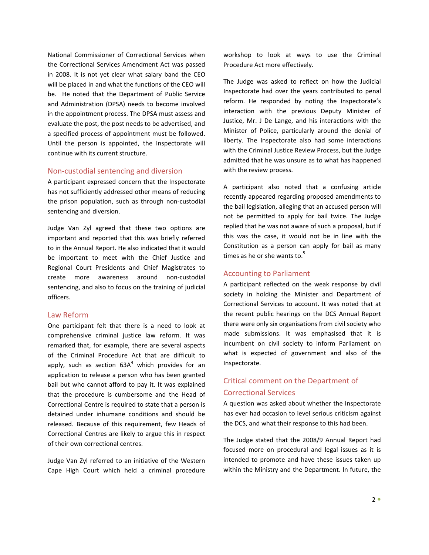National Commissioner of Correctional Services when the Correctional Services Amendment Act was passed in 2008. It is not yet clear what salary band the CEO will be placed in and what the functions of the CEO will be. He noted that the Department of Public Service and Administration (DPSA) needs to become involved in the appointment process. The DPSA must assess and evaluate the post, the post needs to be advertised, and a specified process of appointment must be followed. Until the person is appointed, the Inspectorate will continue with its current structure.

### Non-custodial sentencing and diversion

A participant expressed concern that the Inspectorate has not sufficiently addressed other means of reducing the prison population, such as through non-custodial sentencing and diversion.

Judge Van Zyl agreed that these two options are important and reported that this was briefly referred to in the Annual Report. He also indicated that it would be important to meet with the Chief Justice and Regional Court Presidents and Chief Magistrates to create more awareness around non-custodial sentencing, and also to focus on the training of judicial officers.

### Law Reform

One participant felt that there is a need to look at comprehensive criminal justice law reform. It was remarked that, for example, there are several aspects of the Criminal Procedure Act that are difficult to apply, such as section  $63A<sup>4</sup>$  which provides for an application to release a person who has been granted bail but who cannot afford to pay it. It was explained that the procedure is cumbersome and the Head of Correctional Centre is required to state that a person is detained under inhumane conditions and should be released. Because of this requirement, few Heads of Correctional Centres are likely to argue this in respect of their own correctional centres.

Judge Van Zyl referred to an initiative of the Western Cape High Court which held a criminal procedure

workshop to look at ways to use the Criminal Procedure Act more effectively.

The Judge was asked to reflect on how the Judicial Inspectorate had over the years contributed to penal reform. He responded by noting the Inspectorate's interaction with the previous Deputy Minister of Justice, Mr. J De Lange, and his interactions with the Minister of Police, particularly around the denial of liberty. The Inspectorate also had some interactions with the Criminal Justice Review Process, but the Judge admitted that he was unsure as to what has happened with the review process.

A participant also noted that a confusing article recently appeared regarding proposed amendments to the bail legislation, alleging that an accused person will not be permitted to apply for bail twice. The Judge replied that he was not aware of such a proposal, but if this was the case, it would not be in line with the Constitution as a person can apply for bail as many times as he or she wants to. $5$ 

## Accounting to Parliament

A participant reflected on the weak response by civil society in holding the Minister and Department of Correctional Services to account. It was noted that at the recent public hearings on the DCS Annual Report there were only six organisations from civil society who made submissions. It was emphasised that it is incumbent on civil society to inform Parliament on what is expected of government and also of the Inspectorate.

# Critical comment on the Department of Correctional Services

A question was asked about whether the Inspectorate has ever had occasion to level serious criticism against the DCS, and what their response to this had been.

The Judge stated that the 2008/9 Annual Report had focused more on procedural and legal issues as it is intended to promote and have these issues taken up within the Ministry and the Department. In future, the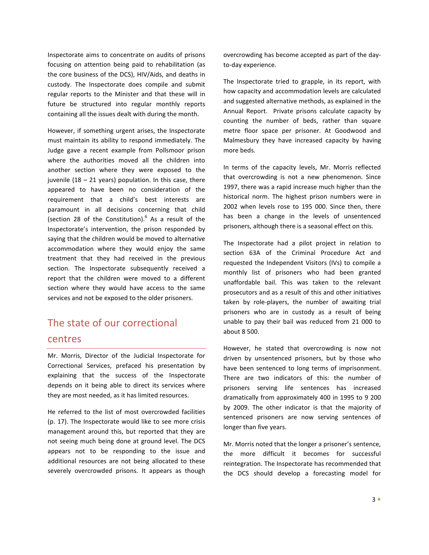Inspectorate aims to concentrate on audits of prisons focusing on attention being paid to rehabilitation (as the core business of the DCS), HIV/Aids, and deaths in custody. The Inspectorate does compile and submit regular reports to the Minister and that these will in future be structured into regular monthly reports containing all the issues dealt with during the month.

However, if something urgent arises, the Inspectorate must maintain its ability to respond immediately. The Judge gave a recent example from Pollsmoor prison where the authorities moved all the children into another section where they were exposed to the juvenile  $(18 - 21$  years) population. In this case, there appeared to have been no consideration of the requirement that a child's best interests are paramount in all decisions concerning that child (section 28 of the Constitution). $<sup>6</sup>$  As a result of the</sup> Inspectorate's intervention, the prison responded by saying that the children would be moved to alternative accommodation where they would enjoy the same treatment that they had received in the previous section. The Inspectorate subsequently received a report that the children were moved to a different section where they would have access to the same services and not be exposed to the older prisoners.

# The state of our correctional centres

Mr. Morris, Director of the Judicial Inspectorate for Correctional Services, prefaced his presentation by explaining that the success of the Inspectorate depends on it being able to direct its services where they are most needed, as it has limited resources.

He referred to the list of most overcrowded facilities (p. 17). The Inspectorate would like to see more crisis management around this, but reported that they are not seeing much being done at ground level. The DCS appears not to be responding to the issue and additional resources are not being allocated to these severely overcrowded prisons. It appears as though

overcrowding has become accepted as part of the dayto-day experience.

The Inspectorate tried to grapple, in its report, with how capacity and accommodation levels are calculated and suggested alternative methods, as explained in the Annual Report. Private prisons calculate capacity by counting the number of beds, rather than square metre floor space per prisoner. At Goodwood and Malmesbury they have increased capacity by having more beds.

In terms of the capacity levels, Mr. Morris reflected that overcrowding is not a new phenomenon. Since 1997, there was a rapid increase much higher than the historical norm. The highest prison numbers were in 2002 when levels rose to 195 000. Since then, there has been a change in the levels of unsentenced prisoners, although there is a seasonal effect on this.

The Inspectorate had a pilot project in relation to section 63A of the Criminal Procedure Act and requested the Independent Visitors (IVs) to compile a monthly list of prisoners who had been granted unaffordable bail. This was taken to the relevant prosecutors and as a result of this and other initiatives taken by role-players, the number of awaiting trial prisoners who are in custody as a result of being unable to pay their bail was reduced from 21 000 to about 8 500.

However, he stated that overcrowding is now not driven by unsentenced prisoners, but by those who have been sentenced to long terms of imprisonment. There are two indicators of this: the number of prisoners serving life sentences has increased dramatically from approximately 400 in 1995 to 9 200 by 2009. The other indicator is that the majority of sentenced prisoners are now serving sentences of longer than five years.

Mr. Morris noted that the longer a prisoner's sentence, the more difficult it becomes for successful reintegration. The Inspectorate has recommended that the DCS should develop a forecasting model for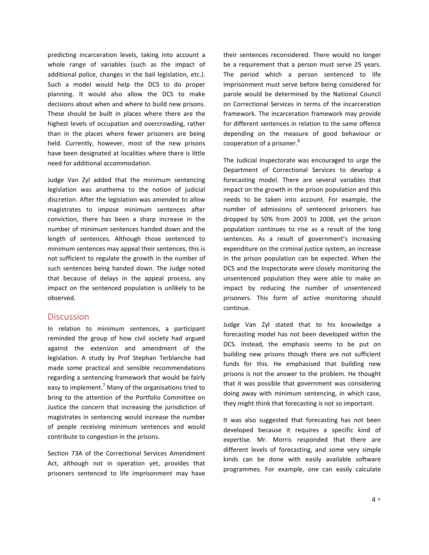predicting incarceration levels, taking into account a whole range of variables (such as the impact of additional police, changes in the bail legislation, etc.). Such a model would help the DCS to do proper planning. It would also allow the DCS to make decisions about when and where to build new prisons. These should be built in places where there are the highest levels of occupation and overcrowding, rather than in the places where fewer prisoners are being held. Currently, however, most of the new prisons have been designated at localities where there is little need for additional accommodation.

Judge Van Zyl added that the minimum sentencing legislation was anathema to the notion of judicial discretion. After the legislation was amended to allow magistrates to impose minimum sentences after conviction, there has been a sharp increase in the number of minimum sentences handed down and the length of sentences. Although those sentenced to minimum sentences may appeal their sentences, this is not sufficient to regulate the growth in the number of such sentences being handed down. The Judge noted that because of delays in the appeal process, any impact on the sentenced population is unlikely to be observed.

# **Discussion**

In relation to minimum sentences, a participant reminded the group of how civil society had argued against the extension and amendment of the legislation. A study by Prof Stephan Terblanche had made some practical and sensible recommendations regarding a sentencing framework that would be fairly easy to implement.<sup>7</sup> Many of the organisations tried to bring to the attention of the Portfolio Committee on Justice the concern that increasing the jurisdiction of magistrates in sentencing would increase the number of people receiving minimum sentences and would contribute to congestion in the prisons.

Section 73A of the Correctional Services Amendment Act, although not in operation yet, provides that prisoners sentenced to life imprisonment may have their sentences reconsidered. There would no longer be a requirement that a person must serve 25 years. The period which a person sentenced to life imprisonment must serve before being considered for parole would be determined by the National Council on Correctional Services in terms of the incarceration framework. The incarceration framework may provide for different sentences in relation to the same offence depending on the measure of good behaviour or cooperation of a prisoner.<sup>8</sup>

The Judicial Inspectorate was encouraged to urge the Department of Correctional Services to develop a forecasting model. There are several variables that impact on the growth in the prison population and this needs to be taken into account. For example, the number of admissions of sentenced prisoners has dropped by 50% from 2003 to 2008, yet the prison population continues to rise as a result of the long sentences. As a result of government's increasing expenditure on the criminal justice system, an increase in the prison population can be expected. When the DCS and the Inspectorate were closely monitoring the unsentenced population they were able to make an impact by reducing the number of unsentenced prisoners. This form of active monitoring should continue.

Judge Van Zyl stated that to his knowledge a forecasting model has not been developed within the DCS. Instead, the emphasis seems to be put on building new prisons though there are not sufficient funds for this. He emphasised that building new prisons is not the answer to the problem. He thought that it was possible that government was considering doing away with minimum sentencing, in which case, they might think that forecasting is not so important.

It was also suggested that forecasting has not been developed because it requires a specific kind of expertise. Mr. Morris responded that there are different levels of forecasting, and some very simple kinds can be done with easily available software programmes. For example, one can easily calculate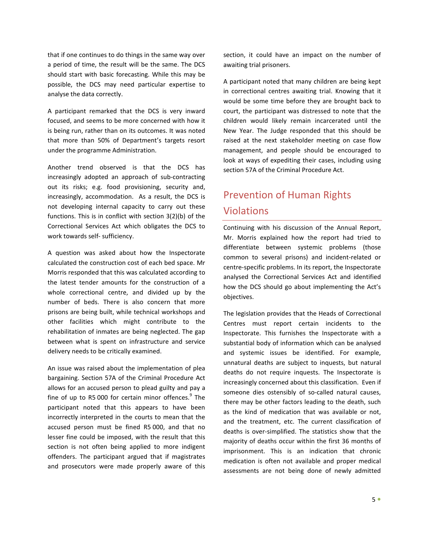that if one continues to do things in the same way over a period of time, the result will be the same. The DCS should start with basic forecasting. While this may be possible, the DCS may need particular expertise to analyse the data correctly.

A participant remarked that the DCS is very inward focused, and seems to be more concerned with how it is being run, rather than on its outcomes. It was noted that more than 50% of Department's targets resort under the programme Administration.

Another trend observed is that the DCS has increasingly adopted an approach of sub-contracting out its risks; e.g. food provisioning, security and, increasingly, accommodation. As a result, the DCS is not developing internal capacity to carry out these functions. This is in conflict with section 3(2)(b) of the Correctional Services Act which obligates the DCS to work towards self- sufficiency.

A question was asked about how the Inspectorate calculated the construction cost of each bed space. Mr Morris responded that this was calculated according to the latest tender amounts for the construction of a whole correctional centre, and divided up by the number of beds. There is also concern that more prisons are being built, while technical workshops and other facilities which might contribute to the rehabilitation of inmates are being neglected. The gap between what is spent on infrastructure and service delivery needs to be critically examined.

An issue was raised about the implementation of plea bargaining. Section 57A of the Criminal Procedure Act allows for an accused person to plead guilty and pay a fine of up to R5 000 for certain minor offences.<sup>9</sup> The participant noted that this appears to have been incorrectly interpreted in the courts to mean that the accused person must be fined R5 000, and that no lesser fine could be imposed, with the result that this section is not often being applied to more indigent offenders. The participant argued that if magistrates and prosecutors were made properly aware of this

section, it could have an impact on the number of awaiting trial prisoners.

A participant noted that many children are being kept in correctional centres awaiting trial. Knowing that it would be some time before they are brought back to court, the participant was distressed to note that the children would likely remain incarcerated until the New Year. The Judge responded that this should be raised at the next stakeholder meeting on case flow management, and people should be encouraged to look at ways of expediting their cases, including using section 57A of the Criminal Procedure Act.

# Prevention of Human Rights Violations

Continuing with his discussion of the Annual Report, Mr. Morris explained how the report had tried to differentiate between systemic problems (those common to several prisons) and incident-related or centre-specific problems. In its report, the Inspectorate analysed the Correctional Services Act and identified how the DCS should go about implementing the Act's objectives.

The legislation provides that the Heads of Correctional Centres must report certain incidents to the Inspectorate. This furnishes the Inspectorate with a substantial body of information which can be analysed and systemic issues be identified. For example, unnatural deaths are subject to inquests, but natural deaths do not require inquests. The Inspectorate is increasingly concerned about this classification. Even if someone dies ostensibly of so-called natural causes, there may be other factors leading to the death, such as the kind of medication that was available or not, and the treatment, etc. The current classification of deaths is over-simplified. The statistics show that the majority of deaths occur within the first 36 months of imprisonment. This is an indication that chronic medication is often not available and proper medical assessments are not being done of newly admitted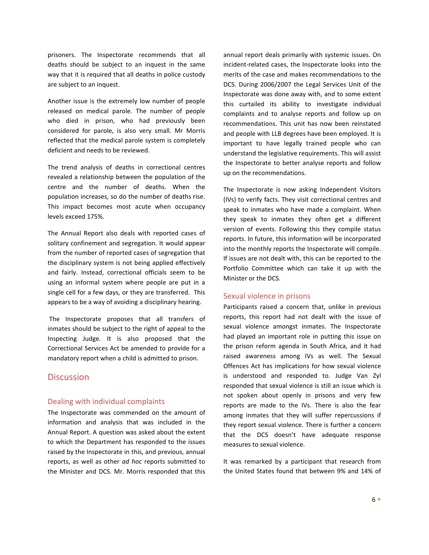prisoners. The Inspectorate recommends that all deaths should be subject to an inquest in the same way that it is required that all deaths in police custody are subject to an inquest.

Another issue is the extremely low number of people released on medical parole. The number of people who died in prison, who had previously been considered for parole, is also very small. Mr Morris reflected that the medical parole system is completely deficient and needs to be reviewed.

The trend analysis of deaths in correctional centres revealed a relationship between the population of the centre and the number of deaths. When the population increases, so do the number of deaths rise. This impact becomes most acute when occupancy levels exceed 175%.

The Annual Report also deals with reported cases of solitary confinement and segregation. It would appear from the number of reported cases of segregation that the disciplinary system is not being applied effectively and fairly. Instead, correctional officials seem to be using an informal system where people are put in a single cell for a few days, or they are transferred. This appears to be a way of avoiding a disciplinary hearing.

 The Inspectorate proposes that all transfers of inmates should be subject to the right of appeal to the Inspecting Judge. It is also proposed that the Correctional Services Act be amended to provide for a mandatory report when a child is admitted to prison.

# **Discussion**

### Dealing with individual complaints

The Inspectorate was commended on the amount of information and analysis that was included in the Annual Report. A question was asked about the extent to which the Department has responded to the issues raised by the Inspectorate in this, and previous, annual reports, as well as other ad hoc reports submitted to the Minister and DCS. Mr. Morris responded that this

annual report deals primarily with systemic issues. On incident-related cases, the Inspectorate looks into the merits of the case and makes recommendations to the DCS. During 2006/2007 the Legal Services Unit of the Inspectorate was done away with, and to some extent this curtailed its ability to investigate individual complaints and to analyse reports and follow up on recommendations. This unit has now been reinstated and people with LLB degrees have been employed. It is important to have legally trained people who can understand the legislative requirements. This will assist the Inspectorate to better analyse reports and follow up on the recommendations.

The Inspectorate is now asking Independent Visitors (IVs) to verify facts. They visit correctional centres and speak to inmates who have made a complaint. When they speak to inmates they often get a different version of events. Following this they compile status reports. In future, this information will be incorporated into the monthly reports the Inspectorate will compile. If issues are not dealt with, this can be reported to the Portfolio Committee which can take it up with the Minister or the DCS.

### Sexual violence in prisons

Participants raised a concern that, unlike in previous reports, this report had not dealt with the issue of sexual violence amongst inmates. The Inspectorate had played an important role in putting this issue on the prison reform agenda in South Africa, and it had raised awareness among IVs as well. The Sexual Offences Act has implications for how sexual violence is understood and responded to. Judge Van Zyl responded that sexual violence is still an issue which is not spoken about openly in prisons and very few reports are made to the IVs. There is also the fear among inmates that they will suffer repercussions if they report sexual violence. There is further a concern that the DCS doesn't have adequate response measures to sexual violence.

It was remarked by a participant that research from the United States found that between 9% and 14% of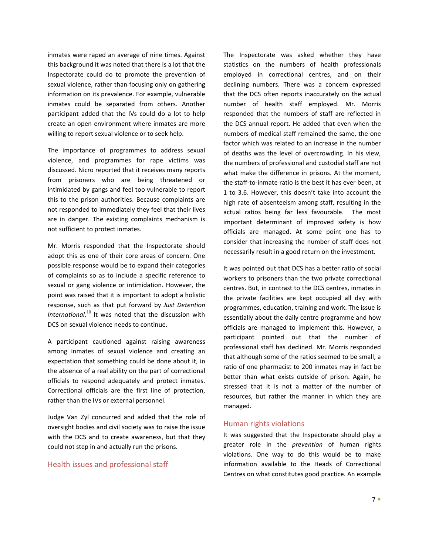inmates were raped an average of nine times. Against this background it was noted that there is a lot that the Inspectorate could do to promote the prevention of sexual violence, rather than focusing only on gathering information on its prevalence. For example, vulnerable inmates could be separated from others. Another participant added that the IVs could do a lot to help create an open environment where inmates are more willing to report sexual violence or to seek help.

The importance of programmes to address sexual violence, and programmes for rape victims was discussed. Nicro reported that it receives many reports from prisoners who are being threatened or intimidated by gangs and feel too vulnerable to report this to the prison authorities. Because complaints are not responded to immediately they feel that their lives are in danger. The existing complaints mechanism is not sufficient to protect inmates.

Mr. Morris responded that the Inspectorate should adopt this as one of their core areas of concern. One possible response would be to expand their categories of complaints so as to include a specific reference to sexual or gang violence or intimidation. However, the point was raised that it is important to adopt a holistic response, such as that put forward by Just Detention International.<sup>10</sup> It was noted that the discussion with DCS on sexual violence needs to continue.

A participant cautioned against raising awareness among inmates of sexual violence and creating an expectation that something could be done about it, in the absence of a real ability on the part of correctional officials to respond adequately and protect inmates. Correctional officials are the first line of protection, rather than the IVs or external personnel.

Judge Van Zyl concurred and added that the role of oversight bodies and civil society was to raise the issue with the DCS and to create awareness, but that they could not step in and actually run the prisons.

## Health issues and professional staff

The Inspectorate was asked whether they have statistics on the numbers of health professionals employed in correctional centres, and on their declining numbers. There was a concern expressed that the DCS often reports inaccurately on the actual number of health staff employed. Mr. Morris responded that the numbers of staff are reflected in the DCS annual report. He added that even when the numbers of medical staff remained the same, the one factor which was related to an increase in the number of deaths was the level of overcrowding. In his view, the numbers of professional and custodial staff are not what make the difference in prisons. At the moment, the staff-to-inmate ratio is the best it has ever been, at 1 to 3.6. However, this doesn't take into account the high rate of absenteeism among staff, resulting in the actual ratios being far less favourable. The most important determinant of improved safety is how officials are managed. At some point one has to consider that increasing the number of staff does not necessarily result in a good return on the investment.

It was pointed out that DCS has a better ratio of social workers to prisoners than the two private correctional centres. But, in contrast to the DCS centres, inmates in the private facilities are kept occupied all day with programmes, education, training and work. The issue is essentially about the daily centre programme and how officials are managed to implement this. However, a participant pointed out that the number of professional staff has declined. Mr. Morris responded that although some of the ratios seemed to be small, a ratio of one pharmacist to 200 inmates may in fact be better than what exists outside of prison. Again, he stressed that it is not a matter of the number of resources, but rather the manner in which they are managed.

### Human rights violations

It was suggested that the Inspectorate should play a greater role in the prevention of human rights violations. One way to do this would be to make information available to the Heads of Correctional Centres on what constitutes good practice. An example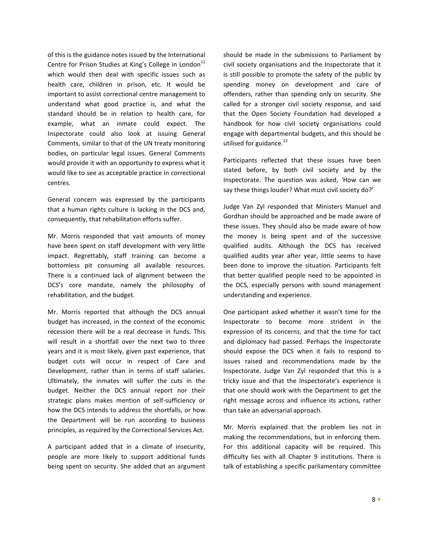of this is the guidance notes issued by the International Centre for Prison Studies at King's College in London<sup>11</sup> which would then deal with specific issues such as health care, children in prison, etc. It would be important to assist correctional centre management to understand what good practice is, and what the standard should be in relation to health care, for example, what an inmate could expect. The Inspectorate could also look at issuing General Comments, similar to that of the UN treaty monitoring bodies, on particular legal issues. General Comments would provide it with an opportunity to express what it would like to see as acceptable practice in correctional centres.

General concern was expressed by the participants that a human rights culture is lacking in the DCS and, consequently, that rehabilitation efforts suffer.

Mr. Morris responded that vast amounts of money have been spent on staff development with very little impact. Regrettably, staff training can become a bottomless pit consuming all available resources. There is a continued lack of alignment between the DCS's core mandate, namely the philosophy of rehabilitation, and the budget.

Mr. Morris reported that although the DCS annual budget has increased, in the context of the economic recession there will be a real decrease in funds. This will result in a shortfall over the next two to three years and it is most likely, given past experience, that budget cuts will occur in respect of Care and Development, rather than in terms of staff salaries. Ultimately, the inmates will suffer the cuts in the budget. Neither the DCS annual report nor their strategic plans makes mention of self-sufficiency or how the DCS intends to address the shortfalls, or how the Department will be run according to business principles, as required by the Correctional Services Act.

A participant added that in a climate of insecurity, people are more likely to support additional funds being spent on security. She added that an argument should be made in the submissions to Parliament by civil society organisations and the Inspectorate that it is still possible to promote the safety of the public by spending money on development and care of offenders, rather than spending only on security. She called for a stronger civil society response, and said that the Open Society Foundation had developed a handbook for how civil society organisations could engage with departmental budgets, and this should be utilised for guidance.<sup>12</sup>

Participants reflected that these issues have been stated before, by both civil society and by the Inspectorate. The question was asked, 'How can we say these things louder? What must civil society do?'

Judge Van Zyl responded that Ministers Manuel and Gordhan should be approached and be made aware of these issues. They should also be made aware of how the money is being spent and of the successive qualified audits. Although the DCS has received qualified audits year after year, little seems to have been done to improve the situation. Participants felt that better qualified people need to be appointed in the DCS, especially persons with sound management understanding and experience.

One participant asked whether it wasn't time for the Inspectorate to become more strident in the expression of its concerns, and that the time for tact and diplomacy had passed. Perhaps the Inspectorate should expose the DCS when it fails to respond to issues raised and recommendations made by the Inspectorate. Judge Van Zyl responded that this is a tricky issue and that the Inspectorate's experience is that one should work with the Department to get the right message across and influence its actions, rather than take an adversarial approach.

Mr. Morris explained that the problem lies not in making the recommendations, but in enforcing them. For this additional capacity will be required. This difficulty lies with all Chapter 9 institutions. There is talk of establishing a specific parliamentary committee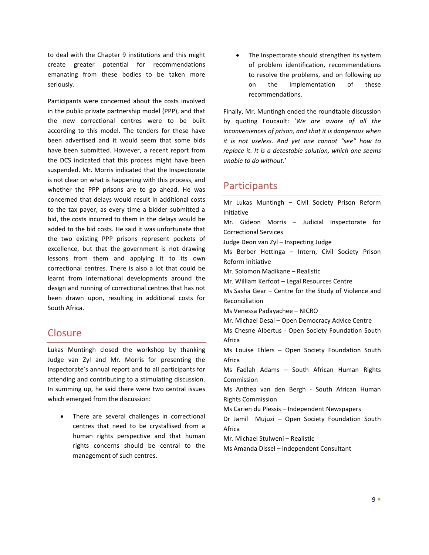to deal with the Chapter 9 institutions and this might create greater potential for recommendations emanating from these bodies to be taken more seriously.

Participants were concerned about the costs involved in the public private partnership model (PPP), and that the new correctional centres were to be built according to this model. The tenders for these have been advertised and it would seem that some bids have been submitted. However, a recent report from the DCS indicated that this process might have been suspended. Mr. Morris indicated that the Inspectorate is not clear on what is happening with this process, and whether the PPP prisons are to go ahead. He was concerned that delays would result in additional costs to the tax payer, as every time a bidder submitted a bid, the costs incurred to them in the delays would be added to the bid costs. He said it was unfortunate that the two existing PPP prisons represent pockets of excellence, but that the government is not drawing lessons from them and applying it to its own correctional centres. There is also a lot that could be learnt from international developments around the design and running of correctional centres that has not been drawn upon, resulting in additional costs for South Africa.

# Closure

Lukas Muntingh closed the workshop by thanking Judge van Zyl and Mr. Morris for presenting the Inspectorate's annual report and to all participants for attending and contributing to a stimulating discussion. In summing up, he said there were two central issues which emerged from the discussion:

There are several challenges in correctional centres that need to be crystallised from a human rights perspective and that human rights concerns should be central to the management of such centres.

• The Inspectorate should strengthen its system of problem identification, recommendations to resolve the problems, and on following up on the implementation of these recommendations.

Finally, Mr. Muntingh ended the roundtable discussion by quoting Foucault: 'We are aware of all the inconveniences of prison, and that it is dangerous when it is not useless. And yet one cannot "see" how to replace it. It is a detestable solution, which one seems unable to do without.'

# **Participants**

Mr Lukas Muntingh – Civil Society Prison Reform Initiative Mr. Gideon Morris – Judicial Inspectorate for Correctional Services Judge Deon van Zyl – Inspecting Judge Ms Berber Hettinga – Intern, Civil Society Prison Reform Initiative Mr. Solomon Madikane – Realistic Mr. William Kerfoot – Legal Resources Centre Ms Sasha Gear – Centre for the Study of Violence and Reconciliation Ms Venessa Padayachee – NICRO Mr. Michael Desai – Open Democracy Advice Centre Ms Chesne Albertus - Open Society Foundation South Africa Ms Louise Ehlers – Open Society Foundation South Africa Ms Fadlah Adams – South African Human Rights Commission Ms Anthea van den Bergh - South African Human Rights Commission Ms Carien du Plessis – Independent Newspapers Dr Jamil Mujuzi – Open Society Foundation South Africa Mr. Michael Stulweni – Realistic Ms Amanda Dissel – Independent Consultant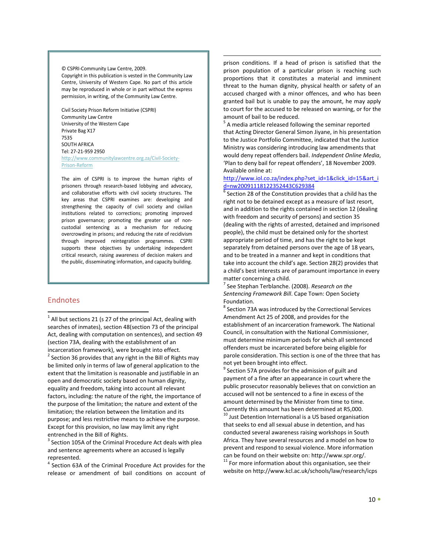#### © CSPRI-Community Law Centre, 2009. Copyright in this publication is vested in the Community Law Centre, University of Western Cape. No part of this article may be reproduced in whole or in part without the express permission, in writing, of the Community Law Centre.

Civil Society Prison Reform Initiative (CSPRI) Community Law Centre University of the Western Cape Private Bag X17 7535 SOUTH AFRICA Tel: 27-21-959 2950 http://www.communitylawcentre.org.za/Civil-Society-Prison-Reform

The aim of CSPRI is to improve the human rights of prisoners through research-based lobbying and advocacy, and collaborative efforts with civil society structures. The key areas that CSPRI examines are: developing and strengthening the capacity of civil society and civilian institutions related to corrections; promoting improved prison governance; promoting the greater use of noncustodial sentencing as a mechanism for reducing overcrowding in prisons; and reducing the rate of recidivism through improved reintegration programmes. CSPRI supports these objectives by undertaking independent critical research, raising awareness of decision makers and the public, disseminating information, and capacity building.

## Endnotes

1

 $1$  All but sections 21 (s 27 of the principal Act, dealing with searches of inmates), section 48(section 73 of the principal Act, dealing with computation on sentences), and section 49 (section 73A, dealing with the establishment of an incarceration framework), were brought into effect.  $2$  Section 36 provides that any right in the Bill of Rights may be limited only in terms of law of general application to the extent that the limitation is reasonable and justifiable in an open and democratic society based on human dignity, equality and freedom, taking into account all relevant factors, including: the nature of the right, the importance of the purpose of the limitation; the nature and extent of the limitation; the relation between the limitation and its purpose; and less restrictive means to achieve the purpose. Except for this provision, no law may limit any right entrenched in the Bill of Rights.

<sup>3</sup> Section 105A of the Criminal Procedure Act deals with plea and sentence agreements where an accused is legally represented.

<sup>4</sup> Section 63A of the Criminal Procedure Act provides for the release or amendment of bail conditions on account of

prison conditions. If a head of prison is satisfied that the prison population of a particular prison is reaching such proportions that it constitutes a material and imminent threat to the human dignity, physical health or safety of an accused charged with a minor offences, and who has been granted bail but is unable to pay the amount, he may apply to court for the accused to be released on warning, or for the amount of bail to be reduced.

1

 $5$  A media article released following the seminar reported that Acting Director General Simon Jiyane, in his presentation to the Justice Portfolio Committee, indicated that the Justice Ministry was considering introducing law amendments that would deny repeat offenders bail. Independent Online Media, 'Plan to deny bail for repeat offenders', 18 November 2009. Available online at:

#### http://www.iol.co.za/index.php?set\_id=1&click\_id=15&art\_i d=nw20091118122352443C629384

 $6$  Section 28 of the Constitution provides that a child has the right not to be detained except as a measure of last resort, and in addition to the rights contained in section 12 (dealing with freedom and security of persons) and section 35 (dealing with the rights of arrested, detained and imprisoned people), the child must be detained only for the shortest appropriate period of time, and has the right to be kept separately from detained persons over the age of 18 years, and to be treated in a manner and kept in conditions that take into account the child's age. Section 28(2) provides that a child's best interests are of paramount importance in every matter concerning a child.

<sup>7</sup> See Stephan Terblanche. (2008). Research on the Sentencing Framework Bill. Cape Town: Open Society Foundation.

<sup>8</sup> Section 73A was introduced by the Correctional Services Amendment Act 25 of 2008, and provides for the establishment of an incarceration framework. The National Council, in consultation with the National Commissioner, must determine minimum periods for which all sentenced offenders must be incarcerated before being eligible for parole consideration. This section is one of the three that has not yet been brought into effect.

 $9^9$  Section 57A provides for the admission of guilt and payment of a fine after an appearance in court where the public prosecutor reasonably believes that on conviction an accused will not be sentenced to a fine in excess of the amount determined by the Minister from time to time. Currently this amount has been determined at R5,000.

 $10$  Just Detention International is a US based organisation that seeks to end all sexual abuse in detention, and has conducted several awareness raising workshops in South Africa. They have several resources and a model on how to prevent and respond to sexual violence. More information can be found on their website on: http://www.spr.org/.

 $11$  For more information about this organisation, see their website on http://www.kcl.ac.uk/schools/law/research/icps